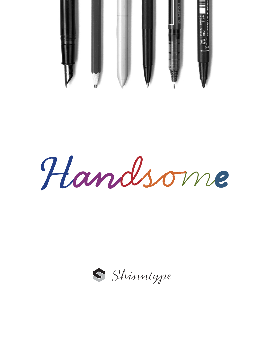

Handsome

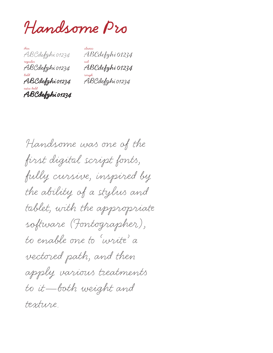**Handsome Pro** 

thin ABCdefghi 01234 regular ABCdefghi 01234 bold **ABCdefghi 01234** extra bold **ABCdefghi 01234**

classic ABCdefghi 01234 nib ABCdefghi 01234 rough ABCdefghi 01234

Handsome was one of the first digital script fonts, fully cursive, inspired by the ability of a stylus and tablet, with the appropriate software (Fontographer), to enable one to 'write' a vectored path, and then apply various treatments to it—both weight and texture.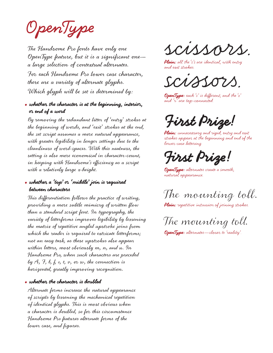**Open Type** 

The Handsome Pro fonts have only one Open Type feature, but it is a significant one a large selection of contextual alternates. For each Handsome Pro lower case character, there are a variety of alternate glyphs. Which glyph will be set is determined by:

## **• whether the character is at the beginning, interior, or end of a word**

By removing the redundant litter of 'entry' strokes at the beginning of words, and 'exit' strokes at the end, the set script assumes a more natural appearance, with greater legibility in longer settings due to the cleanliness of word-spaces. With this neatness, the setting is also more economical in character-count, in keeping with Handsome's efficiency as a script with a relatively large x-height.

**• whether a 'top' or 'middle' join is required between characters** 

This differentiation follows the practice of writing, providing a more subtle mimicry of written flow than a standard script font. In typography, the variety of letterforms improves legibility by lessening the matrix of repetitive angled upstroke joins from which the reader is required to extricate letterforms; not an easy task, as these upstrokes also appear within letters, most obviously m, n, and u. In Handsome Pro, when such characters are preceded by A, J, b, f, o, t, v, or w, the connection is horizontal, greatly improving recognition.

### **• whether the character is doubled**

Alternate forms increase the natural appearance of scripts by lessening the mechanical repetition of identical glyphs. This is most obvious when a character is doubled, so for this circumstance Handsome Pro features alternate forms of the lower case, and figures.

scissors.

Plain: all the 's's are identical, with entry and exit strokes.

scissors.

**Open Type:** each '�' is different, and the '�' and 'r' are top-connected.

**First Prize!**

**Plain:** unnecessary and rigid, entry and exit strokes appear at the beginning and end of the lower-case lettering.

**First Prize!**

**Open Type:** alternates create a smooth, natural appearance.

The mounting toll.

**Plain:** repetitive intrusion of joining strokes.

The mounting toll.

**Open Type:** alternates—closer to 'reality'.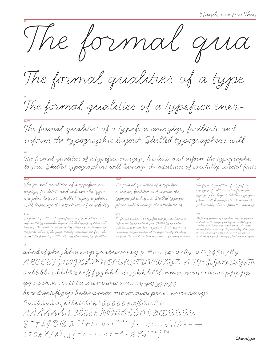

The formal qualities of a type

The formal qualities of a typeface ener-

The formal qualities of a typeface energize, facilitate and inform the typographic layout. Skilled typographers will

The formal qualities of a typeface energize, facilitate and inform the typographic layout. Skilled typographers will leverage the attributes of carefully selected fonts

 $14/15$ The formal qualities of a typeface energize, facilitate and inform the typographic layout. Skilled typographers will leverage the attributes of carefully

The formal qualities of a typeface energize, facilitate and inform the typographic layout. Skilled typographers will leverage the attributes of carefully selected fonts to enhance the personality of the page, thereby standing out from the crowd. The formal qualities of a typeface energize, facilitate

 $12/15$ The formal qualities of a typeface energize, facilitate and inform the typographic layout. Skilled typographers will leverage the attributes of

The formal qualities of a typeface energize, facilitate and inform the typographic layout. Skilled typographers will leverage the attributes of judiciously chosen fonts to maximize the personality of the page, thereby standing out from the crowd. The formal qualities of a typeface ener $10/11$ 

The formal qualities of a typeface energize, facilitate and inform the typographic layout. Skilled typographers will leverage the attributes of judiciously chosen fonts to maximize

\*\*\*\*\*<br>The formal qualities of a typeface energize, facilitate<br>and inform the typographic layout. Skilled typog-<br>raphers will leverage the attributes of judiciously<br>chosen fonts to maximize the personality of the page,<br>qual

abcdefghijklmnopqrstuvwxyz #0123456789 0123456789 ABCDEFGHIJKLMNOPQRSTUVWXYZ AFFeGeJeKe SeYeTh aabb bbccdd ddee eeff f g ghhh i i i j j k k klll mmm nnn o oo o oo p pp p p 99 rrrrssssstttumurvwwwxxxyyy33333 be ce de fe fifl ge je ke le ne oe on on or or ou ou pe se ve we wi xe ye  $^a$ áàâãã $\aa$ æçéèêë $\hat{\iota}\hat{\iota}\hat{\iota}\hat{\iota}\hat{\iota}$ r  $^o$ óòô $\tilde{o}$ õo $\phi$ æß $\hat{\iota}\hat{\iota}\hat{\iota}\hat{\iota}\hat{\iota}\hat{\iota}\hat{\iota}$ ÁÀÂÃĂĂÆÇÉÊÊÊÎĴĴĴÑŐÒÔÕŎØŒÚÙÛÜ  $\int_{0}^{x} f(x) dx \leq \int_{0}^{x} f(x) dx$   $\int_{0}^{x} f(x) dx$   $\int_{0}^{x} f(x) dx$   $\int_{0}^{x} f(x) dx$   $\int_{0}^{x} f(x) dx$   $\int_{0}^{x} f(x) dx$   $\int_{0}^{x} f(x) dx$   $\int_{0}^{x} f(x) dx$   $\int_{0}^{x} f(x) dx$   $\int_{0}^{x} f(x) dx$   $\int_{0}^{x} f(x) dx$   $\int_{0}^{x} f(x) dx$   $\int_{0}^{x} f(x) dx$   $\int_{0}^{x} f(x$  $(\frac{1}{2}ELEFf\phi)_{i\delta}\left\{ =+ -\pm + <\!> - \Lambda \sim \%~\%o\,^{\prime\,\prime\,\prime}\circ\right\}^{TM}$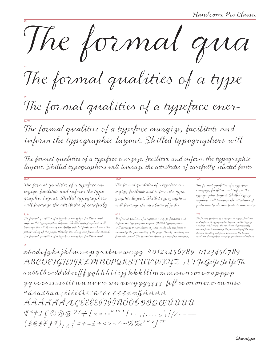96 The formal qua

48 The formal qualities of a type

 $\tilde{a}$  The formal qualities of a typeface ener-

The formal qualities of a typeface energize, facilitate and inform the typographic layout. Skilled typographers will

The formal qualities of a typeface energize, facilitate and inform the typographic layout. Skilled typographers will leverage the attributes of carefully selected fonts

The formal qualities of a typeface energize, facilitate and inform the typographic layout. Skilled typographers will leverage the attributes of carefully

24/26

18/21

20

The formal qualities of a typeface energize, facilitate and inform the typographic layout. Skilled typographers will leverage the attributes of carefully selected fonts to enhance the personality of the page, thereby standing out from the crowd. The formal qualities of a typeface energize, facilitate and

The formal qualities of a typeface energize, facilitate and inform the typographic layout. Skilled typographers will leverage the attributes of judi-

The formal qualities of a typeface energize, facilitate and inform the typographic layout. Skilled typographers will leverage the attributes of judiciously chosen fonts to maximize the personality of the page, thereby standing out from the crowd. The formal qualities of a typeface energize,

#### 14/15 12/15 10/11

The formal qualities of a typeface energize, facilitate and inform the typographic layout. Skilled typographers will leverage the attributes of judiciously chosen fonts to maximize

#### $9/10$  8/10  $7/8$

The formal qualities of a typeface energize, facilitate and inform the typographic layout. Skilled typographers will leverage the attributes of judiciously chosen fonts to maximize the personality of the page, thereby standing out from the crowd. The formal qualities of a typeface energize, facilitate and inform

 $abc\,de{\ell}$ ghijklmnopqrstuvwxy $_3$  #0123456789 0123456789 ABCDEFGHIJKLMNOPQRST UVWXYZ AFFeGeJeSeYeTh  $a$ a b $b$   $b$ b $c$ cdd dd eeff  $f$   $g$   $g$ h hhii i i j j k k k l l l m m m n n n o oo o o o p pp p ggrrrrssssstttunuvvwwwxxxyyy3333 fifloe on onororououse  $a$ áàâãäåæçéèêë $i$ ìî $i$ ñ $^o$ óòôõ $\ddot{o}$ õek $\mu$ úù $\dot{u}$ ÁÀÂÃÃĂÆÇÉÈËÍÌÎĴÏÑÓÒÔÕÖØŒÚÙÛÜ ¶\*†‡§©®@?!&[«» ‹›""'']•·.,;:…"\ | / ⁄-–—  $(\$E\#f \phi)_{\vec{i} \; \vec{\delta}} \{=\,+\,+\,\div\, \langle >\, -\, 1 \sim \% \,\%_0 \, ' \, '' \circ \}^{\tau \mathcal{M}}$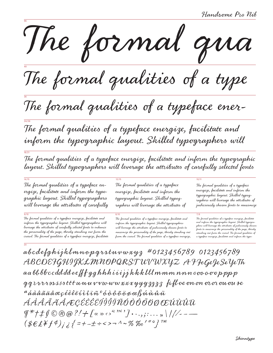96 The formal qua

48 The formal qualities of a type

The formal qualities of a typeface ener-

The formal qualities of a typeface energize, facilitate and inform the typographic layout. Skilled typographers will

The formal qualities of a typeface energize, facilitate and inform the typographic layout. Skilled typographers will leverage the attributes of carefully selected fonts

The formal qualities of a typeface energize, facilitate and inform the typographic layout. Skilled typographers will leverage the attributes of carefully

36

24/26

18/21

20

The formal qualities of a typeface energize, facilitate and inform the typographic layout. Skilled typographers will leverage the attributes of carefully selected fonts to enhance the personality of the page, thereby standing out from the crowd. The formal qualities of a typeface energize, facilitate The formal qualities of a typeface energize, facilitate and inform the typographic layout. Skilled typographers will leverage the attributes of

The formal qualities of a typeface energize, facilitate and inform the typographic layout. Skilled typographers will leverage the attributes of judiciously chosen fonts to maximize the personality of the page, thereby standing out from the crowd. The formal qualities of a typeface energize,

14/15 12/15 10/11

The formal qualities of a typeface energize, facilitate and inform the typographic layout. Skilled typographers will leverage the attributes of judiciously chosen fonts to maximize

The formal qualities of a typeface energize, facilitate and inform the typographic layout. Skilled typographers will leverage the attributes of judiciously chosen fonts to maximize the personality of the page, thereby standing out from the crowd. The formal qualities of a typeface energize, facilitate and inform the typo-

abcdefghijklmnopqrstuvwxyz #0123456789 0123456789 ABCDEFGHIJKLMNOPQRSTUVWXYZ AFFeGeJeSeYeTh aa bb b $\bm{b}$ ccdd dd ee ff  $\bm{f}$ g g hhh i i i j j k k k l l l mmm nnn ooo o o o p pp p  $qq$   $\nu\nu\nu$  assist the  $u$   $u$   $u$   $v$   $w$   $w$   $x$   $x$   $y$   $y$   $y$   $z$   $z$   $z$   $\beta$   $\beta$   $\beta$   $\epsilon$  on on or or ou ou se  $a$ áàâãäåæçéèêëíìî $i$ ñ $^o$ óòôõõøøæßú $\dot{n}$ ŵûü ÁÀÂÃÃÅÆÇÉÊÊËÍÌÎÏÑÓÒÔÕÕØŒÚÙÛÜ  $\mathcal{F}$ \*/ $\uparrow$  $\mathcal{S} \oslash \oslash \oslash ?$ / $\downarrow$   $\left[ \times \times \right.^{a \times c}$ ] $\cdot \cdot \cdot$ ,;: $\cdot \cdot \cdot \cdot$   $\rangle$  ///--- $(\frac{\mathcal{E}}{\mathcal{E}} \frac{\mathcal{E}}{\mathcal{E}} \frac{\mathcal{E}}{\mathcal{E}} f^{\phi})_{j \; \dot{\phi}} \left\{ \frac{1}{1} + \frac{1}{1} + \frac{1}{1} + \frac{1}{1} + \frac{1}{1} + \frac{1}{1} + \frac{1}{1} + \frac{1}{1} + \frac{1}{1} + \frac{1}{1} + \frac{1}{1} + \frac{1}{1} + \frac{1}{1} + \frac{1}{1} + \frac{1}{1} + \frac{1}{1} + \frac{1}{1} + \frac{1}{1} + \frac{1}{1} + \frac{1}{1} +$ 

 $9/10$  8/10  $7/8$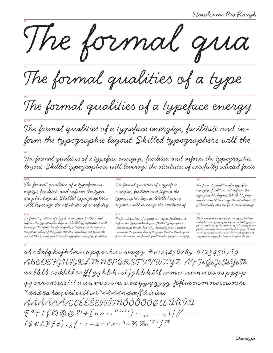96 The formal qua

48 The formal qualities of a type

36 The formal qualities of a typeface energy

The formal qualities of a typeface energize, facilitate and inform the typographic layout. Skilled typographers will the

The formal qualities of a typeface energize, facilitate and inform the typographic layout. Skilled typographers will leverage the attributes of carefully selected fonts

14/15 12/15 10/11 The formal qualities of a typeface energize, facilitate and inform the typographic layout. Skilled typographers will leverage the attributes of carefully

24/26

18/21

20

 $9/10$  8/10  $7/8$ The formal qualities of a typeface energize, facilitate and inform the typographic layout. Skilled typographers will leverage the attributes of carefully selected fonts to enhance the personality of the page, thereby standing out from the crowd. The formal qualities of a typeface energize, facilitate

The formal qualities of a typeface energize, facilitate and inform the typographic layout. Skilled typographers will leverage the attributes of

The formal qualities of a typeface energize, facilitate and inform the typographic layout. Skilled typographers will leverage the attributes of judiciously chosen fonts to maximize the personality of the page, thereby standing out from the crowd. The formal qualities of a typeface energize,

The formal qualities of a typeface energize, facilitate and inform the typographic layout. Skilled typographers will leverage the attributes of judiciously chosen fonts to maximize

The formal qualities of a typeface energize, facilitate and inform the typographic layout. Skilled typographers will leverage the attributes of judiciously chosen fonts to maximize the personality of the page, thereby standing out from the crowd. The formal qualities of a typeface energize, facilitate and inform the typo-

 $abcd$ efghijklmnopqrstuvwxyz #0123456789 0123456789 ABCDEFGHIJKLMNOPQRSTUV WXYZ AF JeGeJe SeYeTh aa bb bb cc dd dd ee fff g ghhh iii jjkkk lll mmmnnn ooo oo pppp  $qq$   $\nu\nu\nu$  assssttt unnuv w w w w w x x y y y  $3333$  fifle on on or or on ou se  $^a$ áàâãäåæçéèêëvíîïñ $^o$ óòôõöøæßúùûü ÁÀÂÃÄÅÆÇÉÈÊËÍÌÎÏÑÓÒÔÕÖØŒÚÙÛÜ  $\int_0^{\infty}$   $\int_0^{\infty}$   $\int_0^{\infty}$   $\int_0^{\infty}$   $\int_0^{\infty}$   $\int_0^{\infty}$   $\int_0^{\infty}$   $\int_0^{\infty}$   $\int_0^{\infty}$   $\int_0^{\infty}$   $\int_0^{\infty}$   $\int_0^{\infty}$   $\int_0^{\infty}$   $\int_0^{\infty}$   $\int_0^{\infty}$   $\int_0^{\infty}$   $\int_0^{\infty}$   $\int_0^{\infty}$   $\int_0$  $(\text{\$E2$#f$\phi$})_{j{\text{\&}}}$ { = + - ± ÷ < > ¬ ^ ~ %  $\%$   $\%$   $^{\prime\prime\,\circ}$  }  $^{\tau\text{\tiny{M}}}$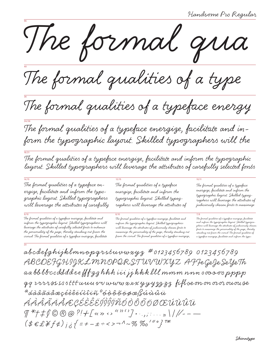96 The formal qua

48 The formal qualities of a type

36 The formal qualities of a typeface energy

The formal qualities of a typeface energize, facilitate and inform the typographic layout. Skilled typographers will the

The formal qualities of a typeface energize, facilitate and inform the typographic layout. Skilled typographers will leverage the attributes of carefully selected fonts

14/15 12/15 10/11 The formal qualities of a typeface energize, facilitate and inform the typographic layout. Skilled typographers will leverage the attributes of carefully

24/26

18/21

20

 $9/10$  8/10  $7/8$ The formal qualities of a typeface energize, facilitate and inform the typographic layout. Skilled typographers will leverage the attributes of carefully selected fonts to enhance the personality of the page, thereby standing out from the crowd. The formal qualities of a typeface energize, facilitate

The formal qualities of a typeface energize, facilitate and inform the typographic layout. Skilled typographers will leverage the attributes of

The formal qualities of a typeface energize, facilitate and inform the typographic layout. Skilled typographers will leverage the attributes of judiciously chosen fonts to maximize the personality of the page, thereby standing out from the crowd. The formal qualities of a typeface energize,

The formal qualities of a typeface energize, facilitate and inform the typographic layout. Skilled typographers will leverage the attributes of judiciously chosen fonts to maximize

The formal qualities of a typeface energize, facilitate and inform the typographic layout. Skilled typographers will leverage the attributes of judiciously chosen fonts to maximize the personality of the page, thereby standing out from the crowd. The formal qualities of a typeface energize, facilitate and inform the typo-

 $abcd$ efghijklmnopqrstuvwxyz #0123456789 0123456789 ABCDEFGHIJKLMNOPQRSTUV WXYZ AFFeGeJe SeYeTh aa bb b $b\bar{c}c$ dddd ee ff $\bar{f} g g$  hhh iii jj kkk lll mmm nnn oooooo pppp  $\varphi$ q rrrsssssttt unu vv www xxxyyy3333 fifloe on on oror ou ouse  $^a$ áàâãäåæçéèêëíìîïñ $^o$ óòôõõøæßúùû $\hat{u}$ ÁÀÂÃÄÅÆÇÉÈÊËÍÌÎÏÑÓÒÔÕÖØŒÚÙÛÜ ¶\*†‡§©®@?!&[«» ‹›""'']•·.,;:…"\|/⁄-–—  $(\text{\$E2$#f$\phi$})_{j{\text{\&}}}$ { = + - ± ÷ < > ¬ ^ ~ %  $\%$   $\%$   $\mathrm{^{\prime}}$   $\mathrm{^{\prime}}$   $\mathrm{^{\prime}}$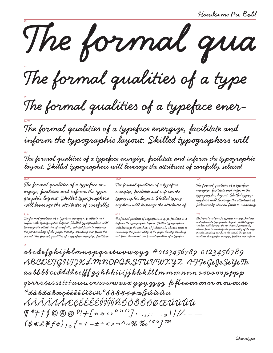The formal qua

The formal qualities of a type

The formal qualities of a typeface ener-

The formal qualities of a typeface energize, facilitate and inform the typographic layout. Skilled typographers will

The formal qualities of a typeface energize, facilitate and inform the typographic layout. Skilled typographers will leverage the attributes of carefully selected

The formal qualities of a typeface energize, facilitate and inform the typographic layout. Skilled typographers will leverage the attributes of carefully

The formal qualities of a typeface energize, facilitate and inform the typographic layout. Skilled typographers will leverage the attributes of carefully selected fonts to enhance the personality of the page, thereby standing out from the crowd. The formal qualities of a typeface energize, facilitate The formal qualities of a typeface energize, facilitate and inform the typographic layout. Skilled typographers will leverage the attributes of

The formal qualities of a typeface energize, facilitate and inform the typographic layout. Skilled typographers will leverage the attributes of judiciously chosen fonts to maximize the personality of the page, thereby standing out from the crowd. The formal qualities of a typeface

The formal qualities of a typeface energize, facilitate and inform the typographic layout. Skilled typographers will leverage the attributes of judiciously chosen fonts to maximize

<sup>11</sup>0<br>The formal qualities of a typeface energize, facilitate<br>and inform the typographic layout. Skilled typog-<br>raphers will leverage the attributes of judiciously<br>chosen fonts to maximize the personality of the page,<br>ther

abcdefghijklmnopqrstuvwxyz #0123456789 0123456789 ABCDEFGHIJKLMNOPQRSTUVWXYZ AFFeGeJeSeYeTh aabbbbccddddeefffgghhhiiijjkkklllmmmnnn oooooopppp qrrrrssssstttumu vvwwwxxxyyy3333 fifloe on onor or ou ouse  $^a$ áàâãäåæçéèêëíìî $i$ ñ $^o$ óòôõöøæßúùû $\hat{u}$ ÁÁÄÄÄÄÆÇÉËËËÍÍĨĨŘÓÒÔÕÖØŒÚÙÛÜ  $\int \frac{1}{2} f(x) \otimes \int \frac{1}{2} f(x) \otimes \int \frac{1}{2} f(x) \otimes \int \frac{1}{2} f(x) \otimes \int \frac{1}{2} f(x) \otimes \int \frac{1}{2} f(x) \otimes \int \frac{1}{2} f(x) \otimes \int \frac{1}{2} f(x) \otimes \int \frac{1}{2} f(x) \otimes \int \frac{1}{2} f(x) \otimes \int \frac{1}{2} f(x) \otimes \int \frac{1}{2} f(x) \otimes \int \frac{1}{2} f(x) \otimes \int \frac{1}{2} f(x) \otimes \int \frac{1}{2} f$  $(\text{\$E2$#f$\phi$})_{j{\text{\o}}\text{\$}} = + -\pm \div \text{\&} > -^{\Lambda} \text{\sim} \text{\%} \text{\%}^{\prime \text{\#}} \text{\degree} \text{\%}^{\text{\#}}$